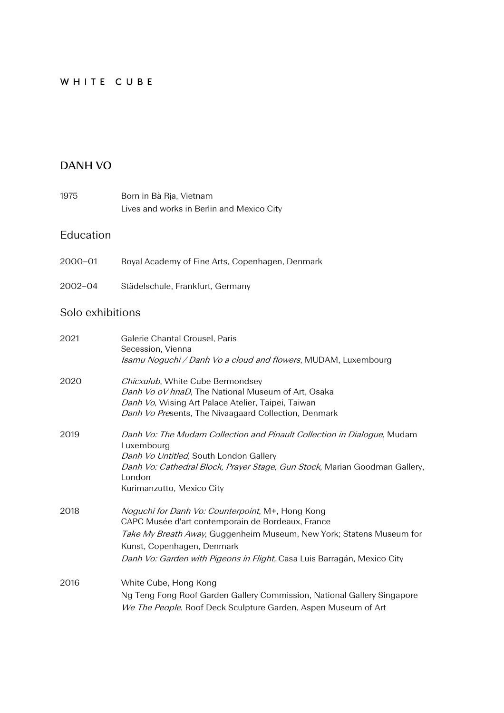## WHITE CUBE

## **DANH VO**

| 1975 | Born in Bà Ria, Vietnam                   |
|------|-------------------------------------------|
|      | Lives and works in Berlin and Mexico City |

### Education

- 2000–01 Royal Academy of Fine Arts, Copenhagen, Denmark
- 2002–04 Städelschule, Frankfurt, Germany

## Solo exhibitions

| 2021 | Galerie Chantal Crousel, Paris<br>Secession, Vienna<br>Isamu Noguchi / Danh Vo a cloud and flowers, MUDAM, Luxembourg                                                                                                                                                                          |
|------|------------------------------------------------------------------------------------------------------------------------------------------------------------------------------------------------------------------------------------------------------------------------------------------------|
| 2020 | Chicxulub, White Cube Bermondsey<br>Danh Vo oV hnaD, The National Museum of Art, Osaka<br>Danh Vo, Wising Art Palace Atelier, Taipei, Taiwan<br>Danh Vo Presents, The Nivaagaard Collection, Denmark                                                                                           |
| 2019 | Danh Vo: The Mudam Collection and Pinault Collection in Dialogue, Mudam<br>Luxembourg<br>Danh Vo Untitled, South London Gallery<br>Danh Vo: Cathedral Block, Prayer Stage, Gun Stock, Marian Goodman Gallery,<br>London<br>Kurimanzutto, Mexico City                                           |
| 2018 | <i>Noguchi for Danh Vo: Counterpoint</i> , M+, Hong Kong<br>CAPC Musée d'art contemporain de Bordeaux, France<br>Take My Breath Away, Guggenheim Museum, New York; Statens Museum for<br>Kunst, Copenhagen, Denmark<br>Danh Vo: Garden with Pigeons in Flight, Casa Luis Barragán, Mexico City |
| 2016 | White Cube, Hong Kong<br>Ng Teng Fong Roof Garden Gallery Commission, National Gallery Singapore<br>We The People, Roof Deck Sculpture Garden, Aspen Museum of Art                                                                                                                             |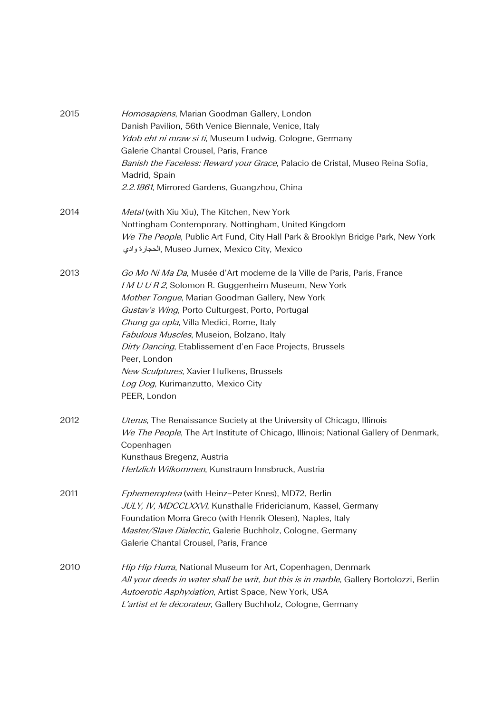| 2015 | Homosapiens, Marian Goodman Gallery, London                                              |
|------|------------------------------------------------------------------------------------------|
|      | Danish Pavilion, 56th Venice Biennale, Venice, Italy                                     |
|      | Ydob eht ni mraw si ti, Museum Ludwig, Cologne, Germany                                  |
|      | Galerie Chantal Crousel, Paris, France                                                   |
|      | Banish the Faceless: Reward your Grace, Palacio de Cristal, Museo Reina Sofia,           |
|      | Madrid, Spain                                                                            |
|      | 2.2.1861, Mirrored Gardens, Guangzhou, China                                             |
| 2014 | Metal (with Xiu Xiu), The Kitchen, New York                                              |
|      | Nottingham Contemporary, Nottingham, United Kingdom                                      |
|      | We The People, Public Art Fund, City Hall Park & Brooklyn Bridge Park, New York          |
|      | الحجارة وادي, Museo Jumex, Mexico City, Mexico                                           |
| 2013 | Go Mo Ni Ma Da, Musée d'Art moderne de la Ville de Paris, Paris, France                  |
|      | IMUUR2, Solomon R. Guggenheim Museum, New York                                           |
|      | Mother Tongue, Marian Goodman Gallery, New York                                          |
|      | Gustav's Wing, Porto Culturgest, Porto, Portugal                                         |
|      | Chung ga opla, Villa Medici, Rome, Italy                                                 |
|      | Fabulous Muscles, Museion, Bolzano, Italy                                                |
|      | Dirty Dancing, Etablissement d'en Face Projects, Brussels                                |
|      | Peer, London                                                                             |
|      | New Sculptures, Xavier Hufkens, Brussels                                                 |
|      | Log Dog, Kurimanzutto, Mexico City                                                       |
|      | PEER, London                                                                             |
| 2012 | Uterus, The Renaissance Society at the University of Chicago, Illinois                   |
|      | We The People, The Art Institute of Chicago, Illinois; National Gallery of Denmark,      |
|      | Copenhagen                                                                               |
|      | Kunsthaus Bregenz, Austria                                                               |
|      | Herlzlich Wilkommen, Kunstraum Innsbruck, Austria                                        |
| 2011 | Ephemeroptera (with Heinz-Peter Knes), MD72, Berlin                                      |
|      | JULY, IV, MDCCLXXVI, Kunsthalle Fridericianum, Kassel, Germany                           |
|      | Foundation Morra Greco (with Henrik Olesen), Naples, Italy                               |
|      | Master/Slave Dialectic, Galerie Buchholz, Cologne, Germany                               |
|      | Galerie Chantal Crousel, Paris, France                                                   |
| 2010 | Hip Hip Hurra, National Museum for Art, Copenhagen, Denmark                              |
|      | All your deeds in water shall be writ, but this is in marble, Gallery Bortolozzi, Berlin |
|      | Autoerotic Asphyxiation, Artist Space, New York, USA                                     |
|      | L'artist et le décorateur, Gallery Buchholz, Cologne, Germany                            |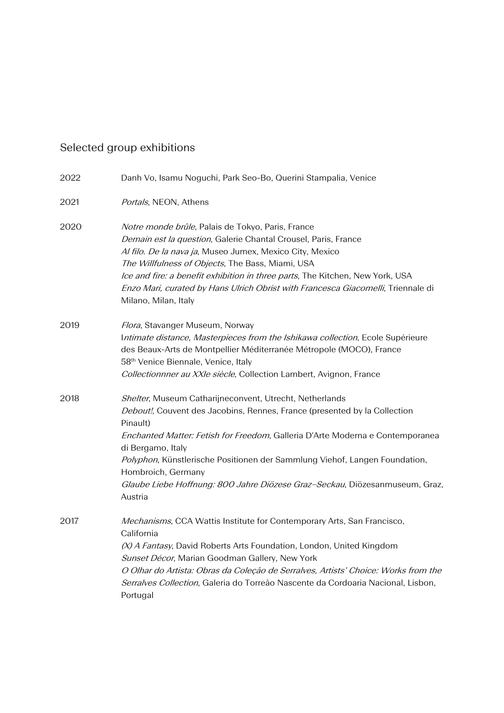# Selected group exhibitions

| 2022 | Danh Vo, Isamu Noguchi, Park Seo-Bo, Querini Stampalia, Venice                                                                                                                                                                                                                                                                                                                                                                                       |
|------|------------------------------------------------------------------------------------------------------------------------------------------------------------------------------------------------------------------------------------------------------------------------------------------------------------------------------------------------------------------------------------------------------------------------------------------------------|
| 2021 | Portals, NEON, Athens                                                                                                                                                                                                                                                                                                                                                                                                                                |
| 2020 | Notre monde brûle, Palais de Tokyo, Paris, France<br>Demain est la question, Galerie Chantal Crousel, Paris, France<br>Al filo. De la nava ja, Museo Jumex, Mexico City, Mexico<br>The Willfulness of Objects, The Bass, Miami, USA<br>Ice and fire: a benefit exhibition in three parts, The Kitchen, New York, USA<br>Enzo Mari, curated by Hans Ulrich Obrist with Francesca Giacomelli, Triennale di<br>Milano, Milan, Italy                     |
| 2019 | Flora, Stavanger Museum, Norway<br>Intimate distance, Masterpieces from the Ishikawa collection, Ecole Supérieure<br>des Beaux-Arts de Montpellier Méditerranée Métropole (MOCO), France<br>58 <sup>th</sup> Venice Biennale, Venice, Italy<br>Collectionnner au XXIe siècle, Collection Lambert, Avignon, France                                                                                                                                    |
| 2018 | Shelter, Museum Catharijneconvent, Utrecht, Netherlands<br>Debout!, Couvent des Jacobins, Rennes, France (presented by la Collection<br>Pinault)<br>Enchanted Matter: Fetish for Freedom, Galleria D'Arte Moderna e Contemporanea<br>di Bergamo, Italy<br>Polyphon, Künstlerische Positionen der Sammlung Viehof, Langen Foundation,<br>Hombroich, Germany<br>Glaube Liebe Hoffnung: 800 Jahre Diözese Graz-Seckau, Diözesanmuseum, Graz,<br>Austria |
| 2017 | Mechanisms, CCA Wattis Institute for Contemporary Arts, San Francisco,<br>California<br>(X) A Fantasy, David Roberts Arts Foundation, London, United Kingdom<br>Sunset Décor, Marian Goodman Gallery, New York<br>O Olhar do Artista: Obras da Coleção de Serralves, Artists' Choice: Works from the<br>Serralves Collection, Galeria do Torreão Nascente da Cordoaria Nacional, Lisbon,<br>Portugal                                                 |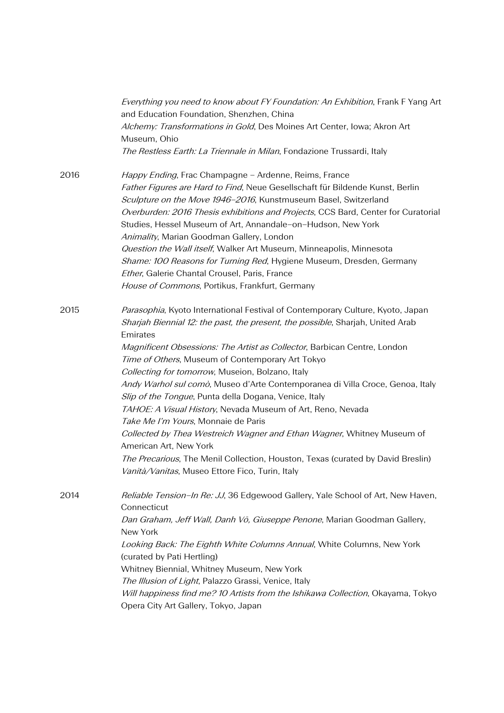| Everything you need to know about FY Foundation: An Exhibition, Frank F Yang Art<br>and Education Foundation, Shenzhen, China<br>Alchemy: Transformations in Gold, Des Moines Art Center, Iowa; Akron Art<br>Museum, Ohio                                                                                                                                                                                                                                                                                                                                                                                                                                                                                                                                                                                                                                  |
|------------------------------------------------------------------------------------------------------------------------------------------------------------------------------------------------------------------------------------------------------------------------------------------------------------------------------------------------------------------------------------------------------------------------------------------------------------------------------------------------------------------------------------------------------------------------------------------------------------------------------------------------------------------------------------------------------------------------------------------------------------------------------------------------------------------------------------------------------------|
| The Restless Earth: La Triennale in Milan, Fondazione Trussardi, Italy                                                                                                                                                                                                                                                                                                                                                                                                                                                                                                                                                                                                                                                                                                                                                                                     |
| Happy Ending, Frac Champagne - Ardenne, Reims, France<br>Father Figures are Hard to Find, Neue Gesellschaft für Bildende Kunst, Berlin<br>Sculpture on the Move 1946-2016, Kunstmuseum Basel, Switzerland<br>Overburden: 2016 Thesis exhibitions and Projects, CCS Bard, Center for Curatorial<br>Studies, Hessel Museum of Art, Annandale-on-Hudson, New York<br>Animality, Marian Goodman Gallery, London<br>Question the Wall itself, Walker Art Museum, Minneapolis, Minnesota<br>Shame: 100 Reasons for Turning Red, Hygiene Museum, Dresden, Germany<br>Ether, Galerie Chantal Crousel, Paris, France<br>House of Commons, Portikus, Frankfurt, Germany                                                                                                                                                                                              |
| Parasophia, Kyoto International Festival of Contemporary Culture, Kyoto, Japan<br>Sharjah Biennial 12: the past, the present, the possible, Sharjah, United Arab<br>Emirates<br>Magnificent Obsessions: The Artist as Collector, Barbican Centre, London<br>Time of Others, Museum of Contemporary Art Tokyo<br>Collecting for tomorrow, Museion, Bolzano, Italy<br>Andy Warhol sul comò, Museo d'Arte Contemporanea di Villa Croce, Genoa, Italy<br>Slip of the Tongue, Punta della Dogana, Venice, Italy<br>TAHOE: A Visual History, Nevada Museum of Art, Reno, Nevada<br>Take Me I'm Yours, Monnaie de Paris<br>Collected by Thea Westreich Wagner and Ethan Wagner, Whitney Museum of<br>American Art, New York<br>The Precarious, The Menil Collection, Houston, Texas (curated by David Breslin)<br>Vanità/Vanitas, Museo Ettore Fico, Turin, Italy |
| Reliable Tension-In Re: JJ, 36 Edgewood Gallery, Yale School of Art, New Haven,<br>Connecticut<br>Dan Graham, Jeff Wall, Danh Vō, Giuseppe Penone, Marian Goodman Gallery,<br>New York<br>Looking Back: The Eighth White Columns Annual, White Columns, New York<br>(curated by Pati Hertling)<br>Whitney Biennial, Whitney Museum, New York<br>The Illusion of Light, Palazzo Grassi, Venice, Italy<br>Will happiness find me? 10 Artists from the Ishikawa Collection, Okayama, Tokyo<br>Opera City Art Gallery, Tokyo, Japan                                                                                                                                                                                                                                                                                                                            |
|                                                                                                                                                                                                                                                                                                                                                                                                                                                                                                                                                                                                                                                                                                                                                                                                                                                            |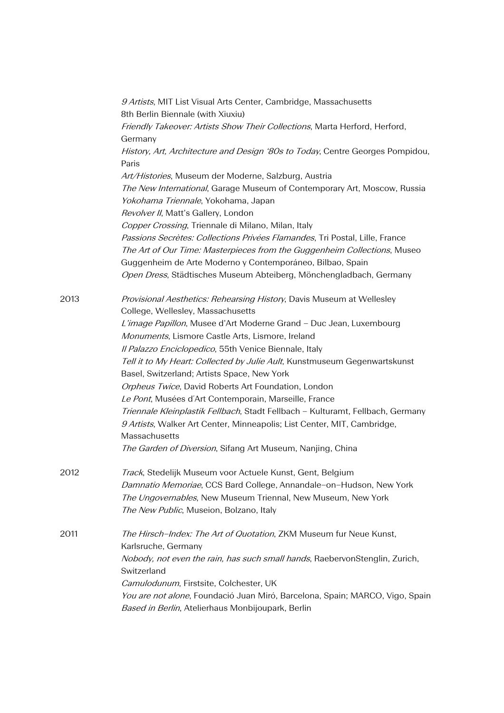|      | 9 Artists, MIT List Visual Arts Center, Cambridge, Massachusetts<br>8th Berlin Biennale (with Xiuxiu)<br>Friendly Takeover: Artists Show Their Collections, Marta Herford, Herford,<br>Germany                                                                             |
|------|----------------------------------------------------------------------------------------------------------------------------------------------------------------------------------------------------------------------------------------------------------------------------|
|      | History, Art, Architecture and Design '80s to Today, Centre Georges Pompidou,<br>Paris                                                                                                                                                                                     |
|      | Art/Histories, Museum der Moderne, Salzburg, Austria<br>The New International, Garage Museum of Contemporary Art, Moscow, Russia<br>Yokohama Triennale, Yokohama, Japan<br>Revolver II, Matt's Gallery, London                                                             |
|      | Copper Crossing, Triennale di Milano, Milan, Italy<br>Passions Secrètes: Collections Privées Flamandes, Tri Postal, Lille, France<br>The Art of Our Time: Masterpieces from the Guggenheim Collections, Museo<br>Guggenheim de Arte Moderno y Contemporáneo, Bilbao, Spain |
|      | Open Dress, Städtisches Museum Abteiberg, Mönchengladbach, Germany                                                                                                                                                                                                         |
| 2013 | Provisional Aesthetics: Rehearsing History, Davis Museum at Wellesley<br>College, Wellesley, Massachusetts                                                                                                                                                                 |
|      | L'image Papillon, Musee d'Art Moderne Grand - Duc Jean, Luxembourg<br>Monuments, Lismore Castle Arts, Lismore, Ireland<br>Il Palazzo Enciclopedico, 55th Venice Biennale, Italy                                                                                            |
|      | Tell it to My Heart: Collected by Julie Ault, Kunstmuseum Gegenwartskunst<br>Basel, Switzerland; Artists Space, New York                                                                                                                                                   |
|      | Orpheus Twice, David Roberts Art Foundation, London                                                                                                                                                                                                                        |
|      | Le Pont, Musées d'Art Contemporain, Marseille, France<br>Triennale Kleinplastik Fellbach, Stadt Fellbach - Kulturamt, Fellbach, Germany<br>9 Artists, Walker Art Center, Minneapolis; List Center, MIT, Cambridge,<br>Massachusetts                                        |
|      | The Garden of Diversion, Sifang Art Museum, Nanjing, China                                                                                                                                                                                                                 |
| 2012 | Track, Stedelijk Museum voor Actuele Kunst, Gent, Belgium<br>Damnatio Memoriae, CCS Bard College, Annandale-on-Hudson, New York<br>The Ungovernables, New Museum Triennal, New Museum, New York<br>The New Public, Museion, Bolzano, Italy                                 |
| 2011 | The Hirsch-Index: The Art of Quotation, ZKM Museum fur Neue Kunst,<br>Karlsruche, Germany                                                                                                                                                                                  |
|      | Nobody, not even the rain, has such small hands, RaebervonStenglin, Zurich,<br>Switzerland                                                                                                                                                                                 |
|      | Camulodunum, Firstsite, Colchester, UK<br>You are not alone, Foundació Juan Miró, Barcelona, Spain; MARCO, Vigo, Spain<br>Based in Berlin, Atelierhaus Monbijoupark, Berlin                                                                                                |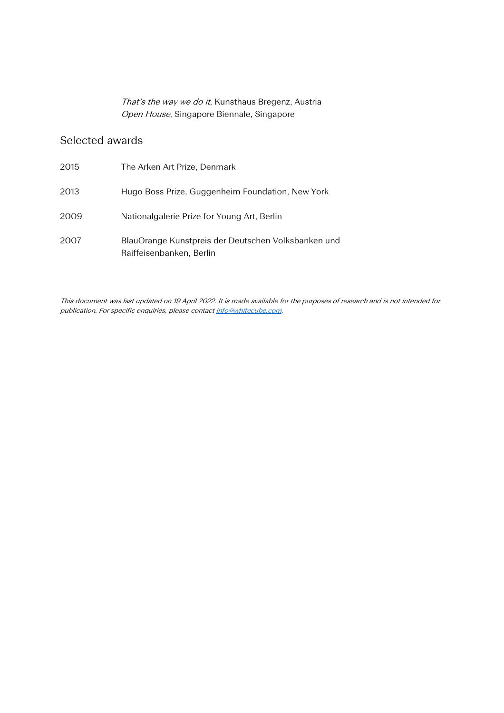That's the way we do it, Kunsthaus Bregenz, Austria Open House, Singapore Biennale, Singapore

## Selected awards

| 2015 | The Arken Art Prize, Denmark                                                    |
|------|---------------------------------------------------------------------------------|
| 2013 | Hugo Boss Prize, Guggenheim Foundation, New York                                |
| 2009 | Nationalgalerie Prize for Young Art, Berlin                                     |
| 2007 | BlauOrange Kunstpreis der Deutschen Volksbanken und<br>Raiffeisenbanken, Berlin |

This document was last updated on 19 April 2022. It is made available for the purposes of research and is not intended for publication. For specific enquiries, please contac[t info@whitecube.com.](mailto:info@whitecube.com)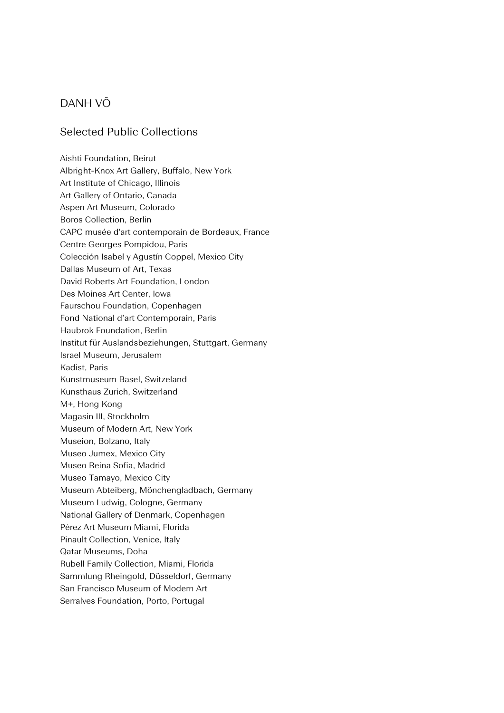### DANH VŌ

#### Selected Public Collections

Aishti Foundation, Beirut Albright-Knox Art Gallery, Buffalo, New York Art Institute of Chicago, Illinois Art Gallery of Ontario, Canada Aspen Art Museum, Colorado Boros Collection, Berlin CAPC musée d'art contemporain de Bordeaux, France Centre Georges Pompidou, Paris Colección Isabel y Agustín Coppel, Mexico City Dallas Museum of Art, Texas David Roberts Art Foundation, London Des Moines Art Center, Iowa Faurschou Foundation, Copenhagen Fond National d'art Contemporain, Paris Haubrok Foundation, Berlin Institut für Auslandsbeziehungen, Stuttgart, Germany Israel Museum, Jerusalem Kadist, Paris Kunstmuseum Basel, Switzeland Kunsthaus Zurich, Switzerland M+, Hong Kong Magasin III, Stockholm Museum of Modern Art, New York Museion, Bolzano, Italy Museo Jumex, Mexico City Museo Reina Sofia, Madrid Museo Tamayo, Mexico City Museum Abteiberg, Mönchengladbach, Germany Museum Ludwig, Cologne, Germany National Gallery of Denmark, Copenhagen Pérez Art Museum Miami, Florida Pinault Collection, Venice, Italy Qatar Museums, Doha Rubell Family Collection, Miami, Florida Sammlung Rheingold, Düsseldorf, Germany San Francisco Museum of Modern Art Serralves Foundation, Porto, Portugal